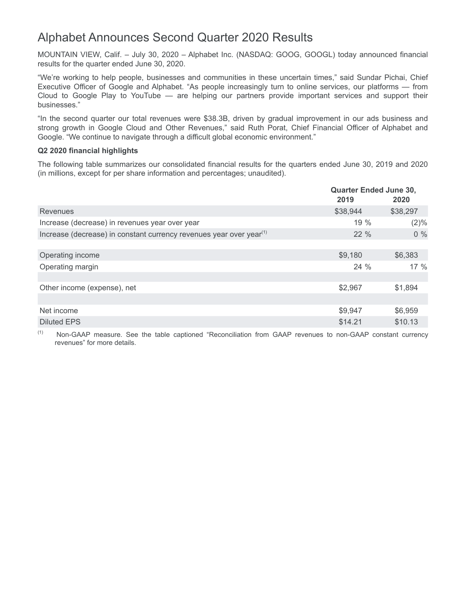# Alphabet Announces Second Quarter 2020 Results

MOUNTAIN VIEW, Calif. – July 30, 2020 – Alphabet Inc. (NASDAQ: GOOG, GOOGL) today announced financial results for the quarter ended June 30, 2020.

"We're working to help people, businesses and communities in these uncertain times," said Sundar Pichai, Chief Executive Officer of Google and Alphabet. "As people increasingly turn to online services, our platforms — from Cloud to Google Play to YouTube — are helping our partners provide important services and support their businesses."

"In the second quarter our total revenues were \$38.3B, driven by gradual improvement in our ads business and strong growth in Google Cloud and Other Revenues," said Ruth Porat, Chief Financial Officer of Alphabet and Google. "We continue to navigate through a difficult global economic environment."

## **Q2 2020 financial highlights**

The following table summarizes our consolidated financial results for the quarters ended June 30, 2019 and 2020 (in millions, except for per share information and percentages; unaudited).

|                                                                                 | <b>Quarter Ended June 30,</b><br>2019 | 2020     |  |
|---------------------------------------------------------------------------------|---------------------------------------|----------|--|
| Revenues                                                                        | \$38,944                              | \$38,297 |  |
| Increase (decrease) in revenues year over year                                  | 19 %                                  | (2)%     |  |
| Increase (decrease) in constant currency revenues year over year <sup>(1)</sup> | $22\%$                                | $0\%$    |  |
|                                                                                 |                                       |          |  |
| Operating income                                                                | \$9,180                               | \$6,383  |  |
| Operating margin                                                                | $24\%$                                | 17%      |  |
|                                                                                 |                                       |          |  |
| Other income (expense), net                                                     | \$2,967                               | \$1,894  |  |
|                                                                                 |                                       |          |  |
| Net income                                                                      | \$9,947                               | \$6,959  |  |
| Diluted EPS                                                                     | \$14.21                               | \$10.13  |  |

(1) Non-GAAP measure. See the table captioned "Reconciliation from GAAP revenues to non-GAAP constant currency revenues" for more details.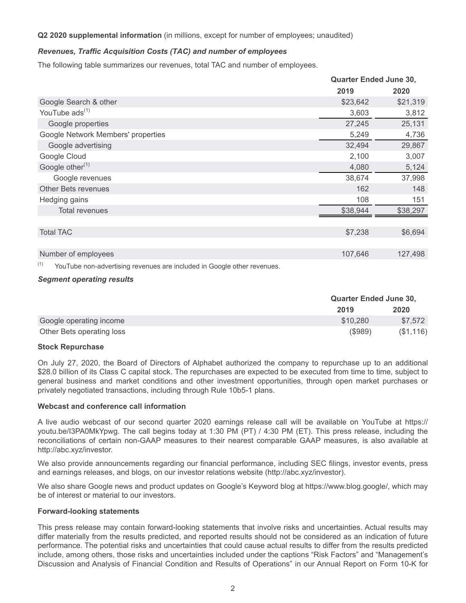## **Q2 2020 supplemental information** (in millions, except for number of employees; unaudited)

## *Revenues, Traffic Acquisition Costs (TAC) and number of employees*

The following table summarizes our revenues, total TAC and number of employees.

|                                    |          | <b>Quarter Ended June 30,</b> |
|------------------------------------|----------|-------------------------------|
|                                    | 2019     | 2020                          |
| Google Search & other              | \$23,642 | \$21,319                      |
| YouTube ads <sup>(1)</sup>         | 3,603    | 3,812                         |
| Google properties                  | 27,245   | 25,131                        |
| Google Network Members' properties | 5,249    | 4,736                         |
| Google advertising                 | 32,494   | 29,867                        |
| Google Cloud                       | 2,100    | 3,007                         |
| Google other <sup>(1)</sup>        | 4,080    | 5,124                         |
| Google revenues                    | 38,674   | 37,998                        |
| <b>Other Bets revenues</b>         | 162      | 148                           |
| Hedging gains                      | 108      | 151                           |
| <b>Total revenues</b>              | \$38,944 | \$38,297                      |
|                                    |          |                               |
| <b>Total TAC</b>                   | \$7,238  | \$6,694                       |
|                                    |          |                               |
| Number of employees                | 107,646  | 127,498                       |
|                                    |          |                               |

 $(1)$  YouTube non-advertising revenues are included in Google other revenues.

#### *Segment operating results*

|                           | <b>Quarter Ended June 30,</b> |           |
|---------------------------|-------------------------------|-----------|
|                           | 2019                          | 2020      |
| Google operating income   | \$10,280                      | \$7.572   |
| Other Bets operating loss | (S989)                        | (\$1,116) |

#### **Stock Repurchase**

On July 27, 2020, the Board of Directors of Alphabet authorized the company to repurchase up to an additional \$28.0 billion of its Class C capital stock. The repurchases are expected to be executed from time to time, subject to general business and market conditions and other investment opportunities, through open market purchases or privately negotiated transactions, including through Rule 10b5-1 plans.

#### **Webcast and conference call information**

A live audio webcast of our second quarter 2020 earnings release call will be available on YouTube at https:// youtu.be/I3PA0MkYpwg. The call begins today at 1:30 PM (PT) / 4:30 PM (ET). This press release, including the reconciliations of certain non-GAAP measures to their nearest comparable GAAP measures, is also available at http://abc.xyz/investor.

We also provide announcements regarding our financial performance, including SEC filings, investor events, press and earnings releases, and blogs, on our investor relations website (http://abc.xyz/investor).

We also share Google news and product updates on Google's Keyword blog at https://www.blog.google/, which may be of interest or material to our investors.

#### **Forward-looking statements**

This press release may contain forward-looking statements that involve risks and uncertainties. Actual results may differ materially from the results predicted, and reported results should not be considered as an indication of future performance. The potential risks and uncertainties that could cause actual results to differ from the results predicted include, among others, those risks and uncertainties included under the captions "Risk Factors" and "Management's Discussion and Analysis of Financial Condition and Results of Operations" in our Annual Report on Form 10-K for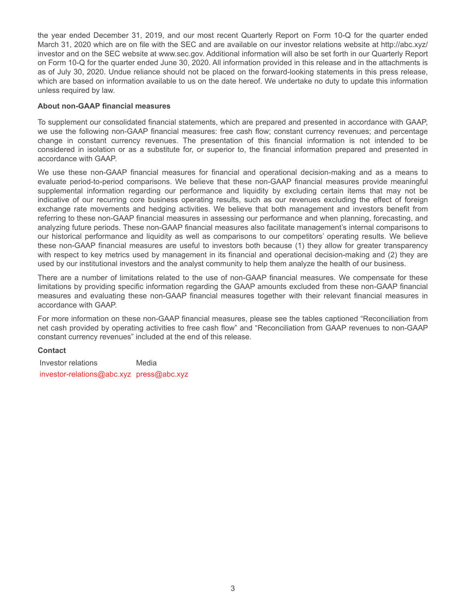the year ended December 31, 2019, and our most recent Quarterly Report on Form 10-Q for the quarter ended March 31, 2020 which are on file with the SEC and are available on our investor relations website at http://abc.xyz/ investor and on the SEC website at www.sec.gov. Additional information will also be set forth in our Quarterly Report on Form 10-Q for the quarter ended June 30, 2020. All information provided in this release and in the attachments is as of July 30, 2020. Undue reliance should not be placed on the forward-looking statements in this press release, which are based on information available to us on the date hereof. We undertake no duty to update this information unless required by law.

#### **About non-GAAP financial measures**

To supplement our consolidated financial statements, which are prepared and presented in accordance with GAAP, we use the following non-GAAP financial measures: free cash flow; constant currency revenues; and percentage change in constant currency revenues. The presentation of this financial information is not intended to be considered in isolation or as a substitute for, or superior to, the financial information prepared and presented in accordance with GAAP.

We use these non-GAAP financial measures for financial and operational decision-making and as a means to evaluate period-to-period comparisons. We believe that these non-GAAP financial measures provide meaningful supplemental information regarding our performance and liquidity by excluding certain items that may not be indicative of our recurring core business operating results, such as our revenues excluding the effect of foreign exchange rate movements and hedging activities. We believe that both management and investors benefit from referring to these non-GAAP financial measures in assessing our performance and when planning, forecasting, and analyzing future periods. These non-GAAP financial measures also facilitate management's internal comparisons to our historical performance and liquidity as well as comparisons to our competitors' operating results. We believe these non-GAAP financial measures are useful to investors both because (1) they allow for greater transparency with respect to key metrics used by management in its financial and operational decision-making and (2) they are used by our institutional investors and the analyst community to help them analyze the health of our business.

There are a number of limitations related to the use of non-GAAP financial measures. We compensate for these limitations by providing specific information regarding the GAAP amounts excluded from these non-GAAP financial measures and evaluating these non-GAAP financial measures together with their relevant financial measures in accordance with GAAP.

For more information on these non-GAAP financial measures, please see the tables captioned "Reconciliation from net cash provided by operating activities to free cash flow" and "Reconciliation from GAAP revenues to non-GAAP constant currency revenues" included at the end of this release.

# **Contact**

Investor relations **Media** investor-relations@abc.xyz press@abc.xyz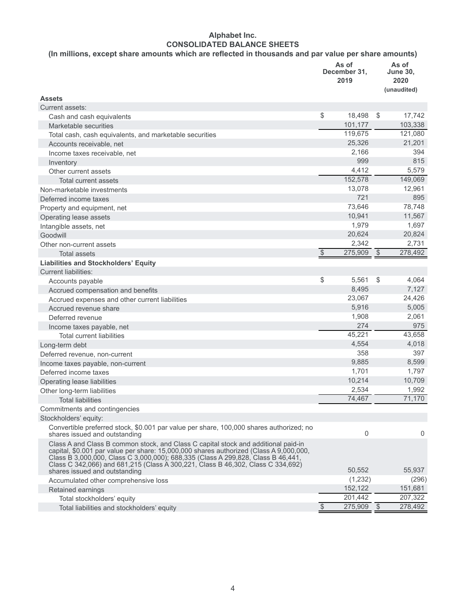# **Alphabet Inc. CONSOLIDATED BALANCE SHEETS**

# **(In millions, except share amounts which are reflected in thousands and par value per share amounts)**

|                                                                                                                                                                                                                                                                                                                                                     | As of<br>December 31,<br>2019 |              |            | As of<br><b>June 30,</b><br>2020<br>(unaudited) |
|-----------------------------------------------------------------------------------------------------------------------------------------------------------------------------------------------------------------------------------------------------------------------------------------------------------------------------------------------------|-------------------------------|--------------|------------|-------------------------------------------------|
| <b>Assets</b>                                                                                                                                                                                                                                                                                                                                       |                               |              |            |                                                 |
| Current assets:                                                                                                                                                                                                                                                                                                                                     |                               |              |            |                                                 |
| Cash and cash equivalents                                                                                                                                                                                                                                                                                                                           | \$                            | 18,498       | -\$        | 17,742                                          |
| Marketable securities                                                                                                                                                                                                                                                                                                                               |                               | 101,177      |            | 103,338                                         |
| Total cash, cash equivalents, and marketable securities                                                                                                                                                                                                                                                                                             |                               | 119,675      |            | 121,080                                         |
| Accounts receivable, net                                                                                                                                                                                                                                                                                                                            |                               | 25,326       |            | 21,201                                          |
| Income taxes receivable, net                                                                                                                                                                                                                                                                                                                        |                               | 2,166        |            | 394                                             |
| Inventory                                                                                                                                                                                                                                                                                                                                           |                               | 999          |            | 815                                             |
| Other current assets                                                                                                                                                                                                                                                                                                                                |                               | 4,412        |            | 5,579                                           |
| Total current assets                                                                                                                                                                                                                                                                                                                                |                               | 152,578      |            | 149,069                                         |
| Non-marketable investments                                                                                                                                                                                                                                                                                                                          |                               | 13,078       |            | 12,961                                          |
| Deferred income taxes                                                                                                                                                                                                                                                                                                                               |                               | 721          |            | 895                                             |
| Property and equipment, net                                                                                                                                                                                                                                                                                                                         |                               | 73,646       |            | 78,748                                          |
| Operating lease assets                                                                                                                                                                                                                                                                                                                              |                               | 10,941       |            | 11,567                                          |
| Intangible assets, net                                                                                                                                                                                                                                                                                                                              |                               | 1,979        |            | 1,697                                           |
| Goodwill                                                                                                                                                                                                                                                                                                                                            |                               | 20,624       |            | 20,824                                          |
| Other non-current assets                                                                                                                                                                                                                                                                                                                            |                               | 2,342        |            | 2,731                                           |
| <b>Total assets</b>                                                                                                                                                                                                                                                                                                                                 | $\sqrt[6]{\frac{1}{2}}$       | 275,909      | $\sqrt{3}$ | 278,492                                         |
| <b>Liabilities and Stockholders' Equity</b>                                                                                                                                                                                                                                                                                                         |                               |              |            |                                                 |
| <b>Current liabilities:</b>                                                                                                                                                                                                                                                                                                                         |                               |              |            |                                                 |
| Accounts payable                                                                                                                                                                                                                                                                                                                                    | \$                            | 5,561        | \$         | 4,064                                           |
| Accrued compensation and benefits                                                                                                                                                                                                                                                                                                                   |                               | 8,495        |            | 7,127                                           |
| Accrued expenses and other current liabilities                                                                                                                                                                                                                                                                                                      |                               | 23,067       |            | 24,426                                          |
| Accrued revenue share                                                                                                                                                                                                                                                                                                                               |                               | 5,916        |            | 5,005                                           |
| Deferred revenue                                                                                                                                                                                                                                                                                                                                    |                               | 1,908        |            | 2,061                                           |
| Income taxes payable, net                                                                                                                                                                                                                                                                                                                           |                               | 274          |            | 975                                             |
| <b>Total current liabilities</b>                                                                                                                                                                                                                                                                                                                    |                               | 45,221       |            | 43,658                                          |
| Long-term debt                                                                                                                                                                                                                                                                                                                                      |                               | 4,554        |            | 4,018                                           |
| Deferred revenue, non-current                                                                                                                                                                                                                                                                                                                       |                               | 358          |            | 397                                             |
| Income taxes payable, non-current                                                                                                                                                                                                                                                                                                                   |                               | 9,885        |            | 8,599                                           |
| Deferred income taxes                                                                                                                                                                                                                                                                                                                               |                               | 1,701        |            | 1,797                                           |
| Operating lease liabilities                                                                                                                                                                                                                                                                                                                         |                               | 10,214       |            | 10,709                                          |
| Other long-term liabilities                                                                                                                                                                                                                                                                                                                         |                               | 2,534        |            | 1,992                                           |
| <b>Total liabilities</b>                                                                                                                                                                                                                                                                                                                            |                               | 74,467       |            | 71,170                                          |
| Commitments and contingencies                                                                                                                                                                                                                                                                                                                       |                               |              |            |                                                 |
| Stockholders' equity:                                                                                                                                                                                                                                                                                                                               |                               |              |            |                                                 |
| Convertible preferred stock, \$0.001 par value per share, 100,000 shares authorized; no<br>shares issued and outstanding                                                                                                                                                                                                                            |                               | 0            |            | 0                                               |
| Class A and Class B common stock, and Class C capital stock and additional paid-in<br>capital, \$0.001 par value per share: 15,000,000 shares authorized (Class A 9,000,000,<br>Class B 3,000,000, Class C 3,000,000); 688,335 (Class A 299,828, Class B 46,441,<br>Class C 342,066) and 681,215 (Class A 300,221, Class B 46,302, Class C 334,692) |                               |              |            |                                                 |
| shares issued and outstanding                                                                                                                                                                                                                                                                                                                       |                               | 50,552       |            | 55,937                                          |
| Accumulated other comprehensive loss                                                                                                                                                                                                                                                                                                                |                               | (1,232)      |            | (296)                                           |
| Retained earnings                                                                                                                                                                                                                                                                                                                                   |                               | 152,122      |            | 151,681                                         |
| Total stockholders' equity                                                                                                                                                                                                                                                                                                                          |                               | 201,442      |            | 207,322                                         |
| Total liabilities and stockholders' equity                                                                                                                                                                                                                                                                                                          | $\mathcal{S}$                 | $275,909$ \$ |            | 278,492                                         |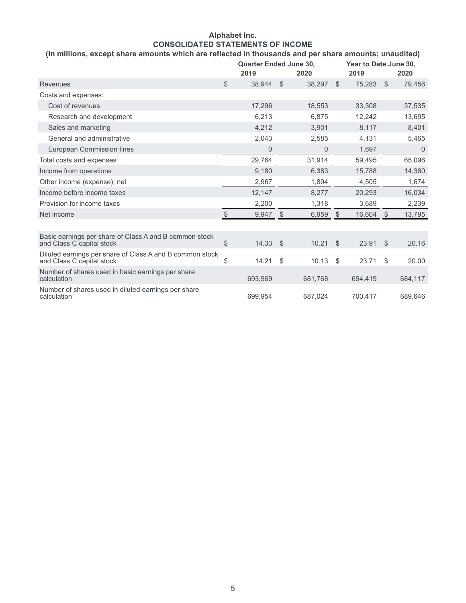# **Alphabet Inc. CONSOLIDATED STATEMENTS OF INCOME**

# **(In millions, except share amounts which are reflected in thousands and per share amounts; unaudited)**

|                                                                                       |              | <b>Quarter Ended June 30,</b><br>2019<br>2020 |      | Year to Date June 30,<br>2019 |               | 2020    |               |         |
|---------------------------------------------------------------------------------------|--------------|-----------------------------------------------|------|-------------------------------|---------------|---------|---------------|---------|
| <b>Revenues</b>                                                                       | $\mathbb{S}$ | 38,944                                        | -\$  | 38,297                        | $\mathcal{S}$ | 75,283  | $\mathcal{S}$ | 79,456  |
| Costs and expenses:                                                                   |              |                                               |      |                               |               |         |               |         |
| Cost of revenues                                                                      |              | 17,296                                        |      | 18,553                        |               | 33,308  |               | 37,535  |
| Research and development                                                              |              | 6,213                                         |      | 6,875                         |               | 12,242  |               | 13,695  |
| Sales and marketing                                                                   |              | 4,212                                         |      | 3,901                         |               | 8,117   |               | 8,401   |
| General and administrative                                                            |              | 2,043                                         |      | 2,585                         |               | 4,131   |               | 5,465   |
| European Commission fines                                                             |              | 0                                             |      | 0                             |               | 1,697   |               | 0       |
| Total costs and expenses                                                              |              | 29,764                                        |      | 31,914                        |               | 59,495  |               | 65,096  |
| Income from operations                                                                |              | 9,180                                         |      | 6.383                         |               | 15,788  |               | 14,360  |
| Other income (expense), net                                                           |              | 2,967                                         |      | 1,894                         |               | 4,505   |               | 1,674   |
| Income before income taxes                                                            |              | 12,147                                        |      | 8,277                         |               | 20,293  |               | 16,034  |
| Provision for income taxes                                                            |              | 2,200                                         |      | 1.318                         |               | 3,689   |               | 2,239   |
| Net income                                                                            | \$           | 9,947                                         | S    | 6,959                         | \$            | 16,604  | <sup>\$</sup> | 13,795  |
|                                                                                       |              |                                               |      |                               |               |         |               |         |
| Basic earnings per share of Class A and B common stock<br>and Class C capital stock   | $\$\$        | 14.33                                         | - \$ | 10.21                         | $\mathcal{S}$ | 23.91   | $\mathcal{S}$ | 20.16   |
| Diluted earnings per share of Class A and B common stock<br>and Class C capital stock | \$           | 14.21                                         | \$   | 10.13                         | \$            | 23.71   | \$            | 20.00   |
| Number of shares used in basic earnings per share<br>calculation                      |              | 693,969                                       |      | 681,768                       |               | 694,419 |               | 684,117 |
| Number of shares used in diluted earnings per share<br>calculation                    |              | 699,954                                       |      | 687,024                       |               | 700,417 |               | 689,646 |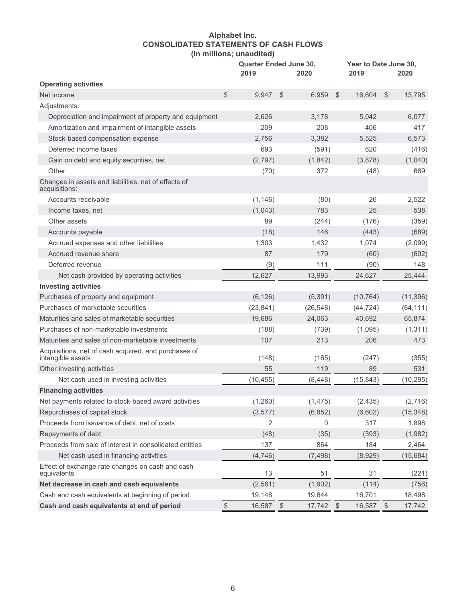# **Alphabet Inc. CONSOLIDATED STATEMENTS OF CASH FLOWS (In millions; unaudited)**

|                                                                           |       | <b>Quarter Ended June 30,</b><br>2019<br>2020 |            | Year to Date June 30,<br>2019 | 2020  |           |               |           |
|---------------------------------------------------------------------------|-------|-----------------------------------------------|------------|-------------------------------|-------|-----------|---------------|-----------|
| <b>Operating activities</b>                                               |       |                                               |            |                               |       |           |               |           |
| Net income                                                                | \$    | 9,947                                         | \$         | 6,959                         | $\$\$ | 16,604    | $\sqrt[6]{2}$ | 13,795    |
| Adjustments:                                                              |       |                                               |            |                               |       |           |               |           |
| Depreciation and impairment of property and equipment                     |       | 2,626                                         |            | 3,178                         |       | 5,042     |               | 6,077     |
| Amortization and impairment of intangible assets                          |       | 209                                           |            | 208                           |       | 406       |               | 417       |
| Stock-based compensation expense                                          |       | 2,756                                         |            | 3,382                         |       | 5,525     |               | 6,573     |
| Deferred income taxes                                                     |       | 693                                           |            | (591)                         |       | 620       |               | (416)     |
| Gain on debt and equity securities, net                                   |       | (2,797)                                       |            | (1, 842)                      |       | (3,878)   |               | (1,040)   |
| Other                                                                     |       | (70)                                          |            | 372                           |       | (48)      |               | 669       |
| Changes in assets and liabilities, net of effects of<br>acquisitions:     |       |                                               |            |                               |       |           |               |           |
| Accounts receivable                                                       |       | (1, 146)                                      |            | (80)                          |       | 26        |               | 2,522     |
| Income taxes, net                                                         |       | (1,043)                                       |            | 783                           |       | 25        |               | 538       |
| Other assets                                                              |       | 89                                            |            | (244)                         |       | (176)     |               | (359)     |
| Accounts payable                                                          |       | (18)                                          |            | 146                           |       | (443)     |               | (689)     |
| Accrued expenses and other liabilities                                    |       | 1,303                                         |            | 1,432                         |       | 1,074     |               | (2,099)   |
| Accrued revenue share                                                     |       | 87                                            |            | 179                           |       | (60)      |               | (692)     |
| Deferred revenue                                                          |       | (9)                                           |            | 111                           |       | (90)      |               | 148       |
| Net cash provided by operating activities                                 |       | 12,627                                        |            | 13,993                        |       | 24,627    |               | 25,444    |
| <b>Investing activities</b>                                               |       |                                               |            |                               |       |           |               |           |
| Purchases of property and equipment                                       |       | (6, 126)                                      |            | (5, 391)                      |       | (10, 764) |               | (11, 396) |
| Purchases of marketable securities                                        |       | (23, 841)                                     |            | (26, 548)                     |       | (44, 724) |               | (64, 111) |
| Maturities and sales of marketable securities                             |       | 19,686                                        |            | 24,063                        |       | 40,692    |               | 65,874    |
| Purchases of non-marketable investments                                   |       | (188)                                         |            | (739)                         |       | (1,095)   |               | (1, 311)  |
| Maturities and sales of non-marketable investments                        |       | 107                                           |            | 213                           |       | 206       |               | 473       |
| Acquisitions, net of cash acquired, and purchases of<br>intangible assets |       | (148)                                         |            | (165)                         |       | (247)     |               | (355)     |
| Other investing activities                                                |       | 55                                            |            | 119                           |       | 89        |               | 531       |
| Net cash used in investing activities                                     |       | (10, 455)                                     |            | (8, 448)                      |       | (15, 843) |               | (10, 295) |
| <b>Financing activities</b>                                               |       |                                               |            |                               |       |           |               |           |
| Net payments related to stock-based award activities                      |       | (1,260)                                       |            | (1, 475)                      |       | (2, 435)  |               | (2,716)   |
| Repurchases of capital stock                                              |       | (3, 577)                                      |            | (6, 852)                      |       | (6,602)   |               | (15, 348) |
| Proceeds from issuance of debt, net of costs                              |       | 2                                             |            | 0                             |       | 317       |               | 1,898     |
| Repayments of debt                                                        |       | (48)                                          |            | (35)                          |       | (393)     |               | (1,982)   |
| Proceeds from sale of interest in consolidated entities                   |       | 137                                           |            | 864                           |       | 184       |               | 2,464     |
| Net cash used in financing activities                                     |       | (4,746)                                       |            | (7, 498)                      |       | (8,929)   |               | (15, 684) |
| Effect of exchange rate changes on cash and cash<br>equivalents           |       | 13                                            |            | 51                            |       | 31        |               | (221)     |
| Net decrease in cash and cash equivalents                                 |       | (2, 561)                                      |            | (1,902)                       |       | (114)     |               | (756)     |
| Cash and cash equivalents at beginning of period                          |       | 19,148                                        |            | 19,644                        |       | 16,701    |               | 18,498    |
| Cash and cash equivalents at end of period                                | $\$\$ | 16,587                                        | $\sqrt{3}$ | 17,742 \$                     |       | 16,587    | $\sqrt{3}$    | 17,742    |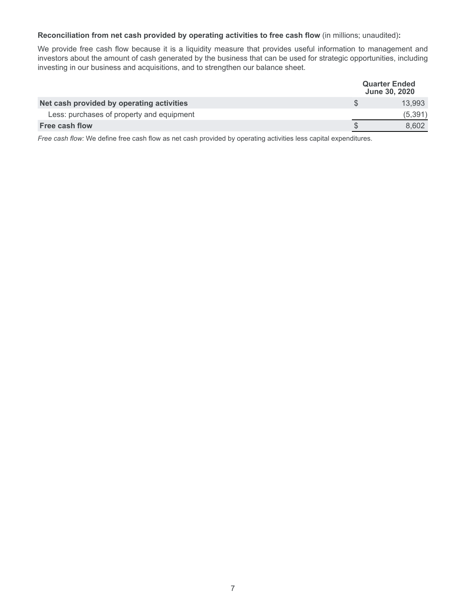## **Reconciliation from net cash provided by operating activities to free cash flow** (in millions; unaudited)**:**

We provide free cash flow because it is a liquidity measure that provides useful information to management and investors about the amount of cash generated by the business that can be used for strategic opportunities, including investing in our business and acquisitions, and to strengthen our balance sheet.

|                                           | <b>Quarter Ended</b><br><b>June 30, 2020</b> |
|-------------------------------------------|----------------------------------------------|
| Net cash provided by operating activities | 13.993                                       |
| Less: purchases of property and equipment | (5,391)                                      |
| Free cash flow                            | 8.602                                        |

*Free cash flow:* We define free cash flow as net cash provided by operating activities less capital expenditures.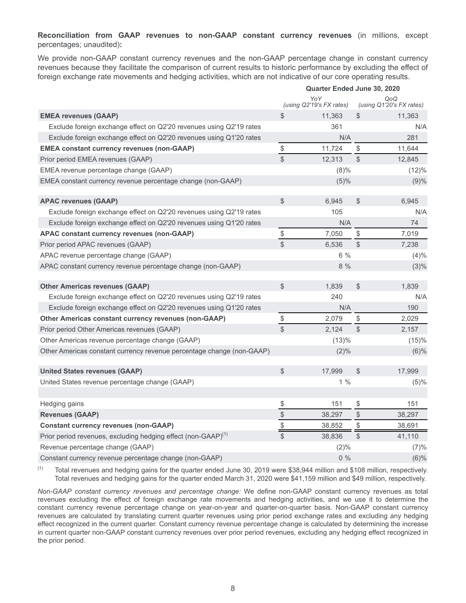**Reconciliation from GAAP revenues to non-GAAP constant currency revenues** (in millions, except percentages; unaudited)**:**

We provide non-GAAP constant currency revenues and the non-GAAP percentage change in constant currency revenues because they facilitate the comparison of current results to historic performance by excluding the effect of foreign exchange rate movements and hedging activities, which are not indicative of our core operating results.

|                                                                           | <b>Quarter Ended June 30, 2020</b> |                                 |               |                                 |  |
|---------------------------------------------------------------------------|------------------------------------|---------------------------------|---------------|---------------------------------|--|
|                                                                           |                                    | YoY<br>(using Q2'19's FX rates) |               | QoQ<br>(using Q1'20's FX rates) |  |
| <b>EMEA revenues (GAAP)</b>                                               | $\$\$                              | 11,363                          | \$            | 11,363                          |  |
| Exclude foreign exchange effect on Q2'20 revenues using Q2'19 rates       |                                    | 361                             |               | N/A                             |  |
| Exclude foreign exchange effect on Q2'20 revenues using Q1'20 rates       |                                    | N/A                             |               | 281                             |  |
| <b>EMEA constant currency revenues (non-GAAP)</b>                         | \$                                 | 11,724                          | \$            | 11,644                          |  |
| Prior period EMEA revenues (GAAP)                                         | $\mathbb{S}$                       | 12,313                          | \$            | 12,845                          |  |
| EMEA revenue percentage change (GAAP)                                     |                                    | $(8)\%$                         |               | (12)%                           |  |
| EMEA constant currency revenue percentage change (non-GAAP)               |                                    | $(5)\%$                         |               | (9)%                            |  |
| <b>APAC revenues (GAAP)</b>                                               | $\mathbb{S}$                       | 6,945                           | $\frac{1}{2}$ | 6,945                           |  |
| Exclude foreign exchange effect on Q2'20 revenues using Q2'19 rates       |                                    | 105                             |               | N/A                             |  |
| Exclude foreign exchange effect on Q2'20 revenues using Q1'20 rates       |                                    | N/A                             |               | 74                              |  |
| <b>APAC constant currency revenues (non-GAAP)</b>                         | \$                                 | 7,050                           | \$            | 7,019                           |  |
| Prior period APAC revenues (GAAP)                                         | $\mathbb{S}$                       | 6,536                           | $\frac{1}{2}$ | 7,238                           |  |
| APAC revenue percentage change (GAAP)                                     |                                    | $6\%$                           |               | (4)%                            |  |
| APAC constant currency revenue percentage change (non-GAAP)               |                                    | 8 %                             |               | $(3)\%$                         |  |
| <b>Other Americas revenues (GAAP)</b>                                     | $$\mathbb{S}$$                     | 1,839                           | $\frac{1}{2}$ | 1,839                           |  |
| Exclude foreign exchange effect on Q2'20 revenues using Q2'19 rates       |                                    | 240                             |               | N/A                             |  |
| Exclude foreign exchange effect on Q2'20 revenues using Q1'20 rates       |                                    | N/A                             |               | 190                             |  |
| Other Americas constant currency revenues (non-GAAP)                      | $\mathbb{S}$                       | 2,079                           | \$            | 2,029                           |  |
| Prior period Other Americas revenues (GAAP)                               | $\mathbb S$                        | 2,124                           | $\mathcal{L}$ | 2,157                           |  |
| Other Americas revenue percentage change (GAAP)                           |                                    | (13)%                           |               | (15)%                           |  |
| Other Americas constant currency revenue percentage change (non-GAAP)     |                                    | (2)%                            |               | $(6)\%$                         |  |
| <b>United States revenues (GAAP)</b>                                      | $\mathcal{S}$                      | 17,999                          | $\frac{1}{2}$ | 17,999                          |  |
| United States revenue percentage change (GAAP)                            |                                    | $1\%$                           |               | (5)%                            |  |
| Hedging gains                                                             |                                    | 151                             | \$            | 151                             |  |
| <b>Revenues (GAAP)</b>                                                    | $rac{3}{3}$                        | 38,297                          | $\frac{1}{2}$ | 38,297                          |  |
| <b>Constant currency revenues (non-GAAP)</b>                              | $\frac{\$}{}$                      | 38,852                          | \$            | 38,691                          |  |
| Prior period revenues, excluding hedging effect (non-GAAP) <sup>(1)</sup> | $\mathcal{S}$                      | 38,836                          | \$            | 41,110                          |  |
| Revenue percentage change (GAAP)                                          |                                    | (2)%                            |               | (7)%                            |  |
| Constant currency revenue percentage change (non-GAAP)                    |                                    | $0\%$                           |               | (6)%                            |  |

 $(1)$  Total revenues and hedging gains for the quarter ended June 30, 2019 were \$38,944 million and \$108 million, respectively. Total revenues and hedging gains for the quarter ended March 31, 2020 were \$41,159 million and \$49 million, respectively.

*Non-GAAP constant currency revenues and percentage change:* We define non-GAAP constant currency revenues as total revenues excluding the effect of foreign exchange rate movements and hedging activities, and we use it to determine the constant currency revenue percentage change on year-on-year and quarter-on-quarter basis. Non-GAAP constant currency revenues are calculated by translating current quarter revenues using prior period exchange rates and excluding any hedging effect recognized in the current quarter. Constant currency revenue percentage change is calculated by determining the increase in current quarter non-GAAP constant currency revenues over prior period revenues, excluding any hedging effect recognized in the prior period.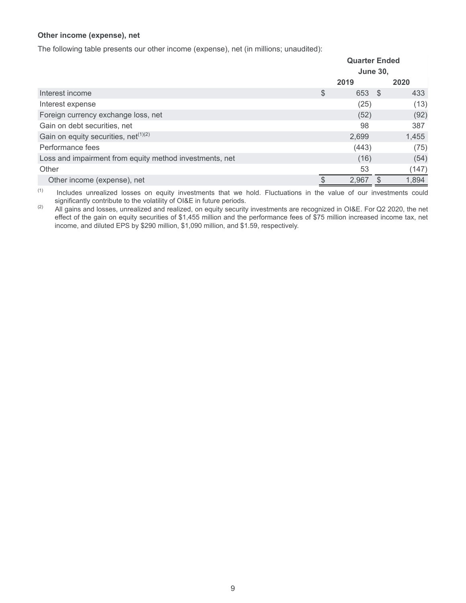# **Other income (expense), net**

The following table presents our other income (expense), net (in millions; unaudited):

|                                                         | <b>Quarter Ended</b> |        |  |       |
|---------------------------------------------------------|----------------------|--------|--|-------|
|                                                         | <b>June 30,</b>      |        |  |       |
|                                                         |                      | 2019   |  | 2020  |
| Interest income                                         | \$                   | 653 \$ |  | 433   |
| Interest expense                                        |                      | (25)   |  | (13)  |
| Foreign currency exchange loss, net                     |                      | (52)   |  | (92)  |
| Gain on debt securities, net                            |                      | 98     |  | 387   |
| Gain on equity securities, net $(1)(2)$                 |                      | 2,699  |  | 1,455 |
| Performance fees                                        |                      | (443)  |  | (75)  |
| Loss and impairment from equity method investments, net |                      | (16)   |  | (54)  |
| Other                                                   |                      | 53     |  | (147) |
| Other income (expense), net                             |                      | 2,967  |  | 1,894 |

(1) Includes unrealized losses on equity investments that we hold. Fluctuations in the value of our investments could significantly contribute to the volatility of OI&E in future periods.

<sup>(2)</sup> All gains and losses, unrealized and realized, on equity security investments are recognized in OI&E. For Q2 2020, the net effect of the gain on equity securities of \$1,455 million and the performance fees of \$75 million increased income tax, net income, and diluted EPS by \$290 million, \$1,090 million, and \$1.59, respectively.